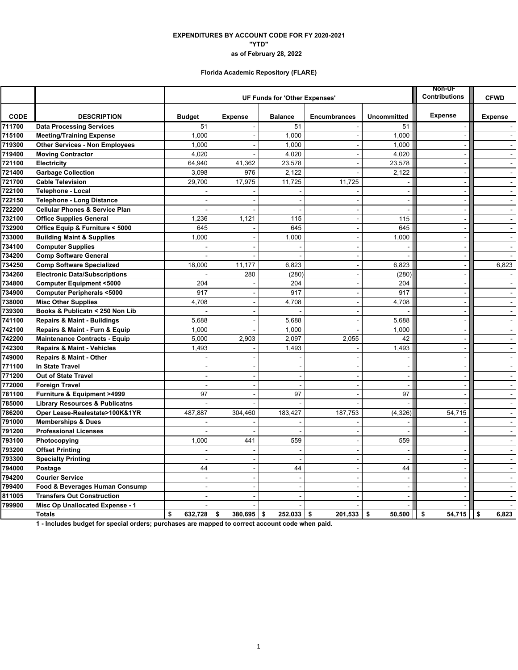### **EXPENDITURES BY ACCOUNT CODE FOR FY 2020-2021 "YTD" as of February 28, 2022**

## **Florida Academic Repository (FLARE)**

|             |                                           |               | <b>NON-UF</b><br><b>Contributions</b> | <b>CFWD</b>              |                     |                          |                          |                |
|-------------|-------------------------------------------|---------------|---------------------------------------|--------------------------|---------------------|--------------------------|--------------------------|----------------|
|             |                                           |               |                                       |                          |                     |                          |                          |                |
| <b>CODE</b> | <b>DESCRIPTION</b>                        | <b>Budget</b> | <b>Expense</b>                        | <b>Balance</b>           | <b>Encumbrances</b> | <b>Uncommitted</b>       | <b>Expense</b>           | <b>Expense</b> |
| 711700      | <b>Data Processing Services</b>           | 51            |                                       | 51                       |                     | 51                       |                          |                |
| 715100      | <b>Meeting/Training Expense</b>           | 1,000         |                                       | 1,000                    | $\sim$              | 1,000                    | $\sim$                   | $\sim$         |
| 719300      | <b>Other Services - Non Employees</b>     | 1,000         |                                       | 1.000                    | $\sim$              | 1,000                    |                          | $\sim$         |
| 719400      | <b>Moving Contractor</b>                  | 4,020         |                                       | 4,020                    |                     | 4,020                    |                          |                |
| 721100      | <b>Electricity</b>                        | 64,940        | 41,362                                | 23,578                   |                     | 23,578                   | $\sim$                   | $\sim$         |
| 721400      | <b>Garbage Collection</b>                 | 3,098         | 976                                   | 2.122                    |                     | 2,122                    |                          | $\sim$         |
| 721700      | <b>Cable Television</b>                   | 29,700        | 17,975                                | 11,725                   | 11,725              | $\overline{\phantom{a}}$ | $\blacksquare$           | $\sim$         |
| 722100      | <b>Telephone - Local</b>                  |               |                                       |                          | $\sim$              | $\sim$                   | $\sim$                   | $\blacksquare$ |
| 722150      | Telephone - Long Distance                 |               |                                       |                          |                     | $\sim$                   | ÷,                       | $\blacksquare$ |
| 722200      | <b>Cellular Phones &amp; Service Plan</b> |               |                                       | $\overline{\phantom{a}}$ |                     | $\blacksquare$           | $\blacksquare$           | $\sim$         |
| 732100      | <b>Office Supplies General</b>            | 1,236         | 1,121                                 | 115                      | $\blacksquare$      | 115                      | $\sim$                   | $\blacksquare$ |
| 732900      | Office Equip & Furniture < 5000           | 645           |                                       | 645                      | $\blacksquare$      | 645                      | $\blacksquare$           | $\blacksquare$ |
| 733000      | <b>Building Maint &amp; Supplies</b>      | 1,000         |                                       | 1,000                    | $\sim$              | 1,000                    | $\blacksquare$           | $\sim$         |
| 734100      | <b>Computer Supplies</b>                  |               |                                       |                          | $\overline{a}$      |                          |                          | $\blacksquare$ |
| 734200      | <b>Comp Software General</b>              |               |                                       |                          |                     |                          | $\sim$                   | $\mathbf{r}$   |
| 734250      | <b>Comp Software Specialized</b>          | 18,000        | 11,177                                | 6,823                    | $\blacksquare$      | 6,823                    | $\blacksquare$           | 6,823          |
| 734260      | <b>Electronic Data/Subscriptions</b>      |               | 280                                   | (280)                    |                     | (280)                    | ÷,                       |                |
| 734800      | <b>Computer Equipment &lt;5000</b>        | 204           |                                       | 204                      | $\sim$              | 204                      | $\sim$                   | $\blacksquare$ |
| 734900      | <b>Computer Peripherals &lt;5000</b>      | 917           |                                       | 917                      | $\blacksquare$      | 917                      | $\sim$                   | $\sim$         |
| 738000      | <b>Misc Other Supplies</b>                | 4,708         |                                       | 4,708                    | $\overline{a}$      | 4,708                    |                          | $\omega$       |
| 739300      | Books & Publicatn < 250 Non Lib           |               |                                       |                          | $\overline{a}$      |                          | $\sim$                   | $\sim$         |
| 741100      | <b>Repairs &amp; Maint - Buildings</b>    | 5,688         |                                       | 5,688                    |                     | 5,688                    | $\blacksquare$           | $\sim$         |
| 742100      | Repairs & Maint - Furn & Equip            | 1,000         |                                       | 1.000                    |                     | 1,000                    | $\blacksquare$           | $\blacksquare$ |
| 742200      | <b>Maintenance Contracts - Equip</b>      | 5,000         | 2,903                                 | 2,097                    | 2,055               | 42                       | $\sim$                   | $\sim$         |
| 742300      | <b>Repairs &amp; Maint - Vehicles</b>     | 1,493         | $\overline{a}$                        | 1,493                    | $\sim$              | 1,493                    | $\sim$                   | $\omega$       |
| 749000      | <b>Repairs &amp; Maint - Other</b>        |               |                                       |                          |                     |                          |                          | $\Delta$       |
| 771100      | In State Travel                           |               |                                       |                          |                     | $\sim$                   | $\sim$                   | $\sim$         |
| 771200      | Out of State Travel                       |               |                                       |                          |                     | $\blacksquare$           |                          | $\blacksquare$ |
| 772000      | <b>Foreign Travel</b>                     |               |                                       |                          |                     |                          |                          | $\sim$         |
| 781100      | <b>Furniture &amp; Equipment &gt;4999</b> | 97            | $\sim$                                | 97                       | $\blacksquare$      | 97                       | $\sim$                   | $\blacksquare$ |
| 785000      | <b>Library Resources &amp; Publicatns</b> |               |                                       |                          |                     |                          |                          | $\omega$       |
| 786200      | Oper Lease-Realestate>100K&1YR            | 487,887       | 304,460                               | 183,427                  | 187,753             | (4, 326)                 | 54,715                   | $\blacksquare$ |
| 791000      | <b>Memberships &amp; Dues</b>             |               |                                       |                          |                     |                          |                          | $\sim$         |
| 791200      | <b>Professional Licenses</b>              |               |                                       |                          |                     |                          |                          | $\blacksquare$ |
| 793100      | Photocopying                              | 1,000         | 441                                   | 559                      | $\blacksquare$      | 559                      |                          | $\sim$         |
| 793200      | <b>Offset Printing</b>                    |               |                                       |                          | $\sim$              | ÷                        | $\sim$                   | $\sim$         |
| 793300      | <b>Specialty Printing</b>                 |               |                                       |                          |                     |                          |                          | $\blacksquare$ |
| 794000      | Postage                                   | 44            |                                       | 44                       | $\sim$              | 44                       | $\sim$                   | $\sim$         |
| 794200      | <b>Courier Service</b>                    |               |                                       |                          | $\overline{a}$      | $\sim$                   | $\sim$                   | $\Delta$       |
| 799400      | Food & Beverages Human Consump            |               |                                       |                          |                     | $\blacksquare$           | $\overline{\phantom{a}}$ | $\blacksquare$ |
| 811005      | <b>Transfers Out Construction</b>         |               |                                       |                          |                     | ÷.                       |                          | $\sim$         |
| 799900      | Misc Op Unallocated Expense - 1           |               |                                       |                          |                     |                          |                          | $\omega$       |
|             | <b>Totals</b>                             | \$<br>632,728 | $380,695$ \$<br>\$                    | $252.033$ \$             | 201,533             | \$<br>50.500             | $54,715$   \$<br>\$      | 6,823          |

**1 - Includes budget for special orders; purchases are mapped to correct account code when paid.**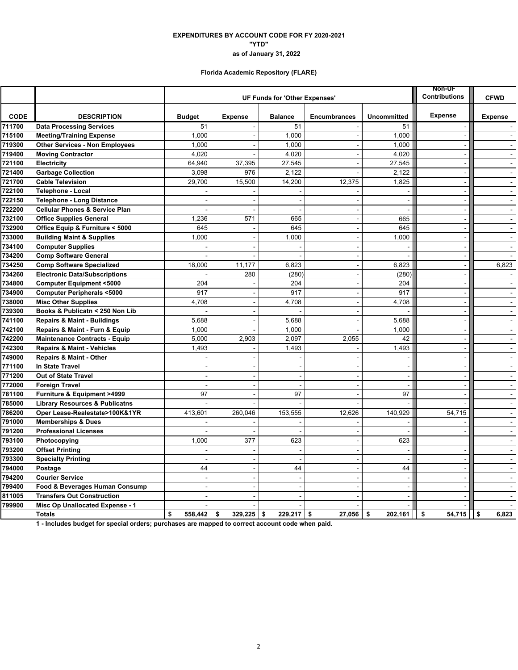# **as of January 31, 2022 "YTD" EXPENDITURES BY ACCOUNT CODE FOR FY 2020-2021**

## **Florida Academic Repository (FLARE)**

|             |                                           |                               |                          | Non-UF<br><b>Contributions</b> | <b>CFWD</b>              |                          |                          |                |
|-------------|-------------------------------------------|-------------------------------|--------------------------|--------------------------------|--------------------------|--------------------------|--------------------------|----------------|
|             |                                           | UF Funds for 'Other Expenses' |                          |                                |                          |                          |                          |                |
| <b>CODE</b> | <b>DESCRIPTION</b>                        | <b>Budget</b>                 | <b>Expense</b>           | <b>Balance</b>                 | <b>Encumbrances</b>      | <b>Uncommitted</b>       | <b>Expense</b>           | <b>Expense</b> |
| 711700      | <b>Data Processing Services</b>           | 51                            |                          | 51                             |                          | 51                       |                          |                |
| 715100      | <b>Meeting/Training Expense</b>           | 1,000                         |                          | 1,000                          | $\sim$                   | 1,000                    |                          | $\sim$         |
| 719300      | <b>Other Services - Non Employees</b>     | 1,000                         |                          | 1,000                          |                          | 1,000                    |                          | $\mathbf{r}$   |
| 719400      | <b>Moving Contractor</b>                  | 4,020                         |                          | 4,020                          | $\sim$                   | 4,020                    | $\sim$                   | $\sim$         |
| 721100      | Electricity                               | 64.940                        | 37,395                   | 27,545                         |                          | 27,545                   |                          | $\omega$       |
| 721400      | <b>Garbage Collection</b>                 | 3,098                         | 976                      | 2,122                          |                          | 2,122                    | $\overline{\phantom{a}}$ | $\blacksquare$ |
| 721700      | <b>Cable Television</b>                   | 29,700                        | 15,500                   | 14,200                         | 12,375                   | 1,825                    | $\sim$                   | $\blacksquare$ |
| 722100      | Telephone - Local                         |                               |                          |                                |                          | $\sim$                   | $\sim$                   | $\omega$       |
| 722150      | <b>Telephone - Long Distance</b>          |                               |                          |                                |                          | $\blacksquare$           | $\sim$                   | $\Delta$       |
| 722200      | <b>Cellular Phones &amp; Service Plan</b> |                               |                          | ÷                              | $\overline{a}$           | $\sim$                   | $\sim$                   | $\sim$         |
| 732100      | <b>Office Supplies General</b>            | 1,236                         | 571                      | 665                            | $\blacksquare$           | 665                      | $\sim$                   | $\blacksquare$ |
| 732900      | Office Equip & Furniture < 5000           | 645                           |                          | 645                            | $\blacksquare$           | 645                      | $\sim$                   | $\omega$       |
| 733000      | <b>Building Maint &amp; Supplies</b>      | 1,000                         | $\overline{\phantom{0}}$ | 1,000                          | $\blacksquare$           | 1,000                    | $\blacksquare$           | $\blacksquare$ |
| 734100      | <b>Computer Supplies</b>                  |                               |                          |                                | $\sim$                   |                          | $\sim$                   | $\blacksquare$ |
| 734200      | <b>Comp Software General</b>              |                               |                          |                                | $\blacksquare$           |                          | $\blacksquare$           | $\blacksquare$ |
| 734250      | <b>Comp Software Specialized</b>          | 18,000                        | 11,177                   | 6,823                          | $\ddot{\phantom{1}}$     | 6,823                    | $\blacksquare$           | 6,823          |
| 734260      | <b>Electronic Data/Subscriptions</b>      |                               | 280                      | (280)                          | ÷,                       | (280)                    | $\tilde{\phantom{a}}$    |                |
| 734800      | <b>Computer Equipment &lt;5000</b>        | 204                           |                          | 204                            | $\sim$                   | 204                      | $\sim$                   | $\blacksquare$ |
| 734900      | <b>Computer Peripherals &lt;5000</b>      | 917                           |                          | 917                            | $\sim$                   | 917                      | $\sim$                   | $\sim$         |
| 738000      | <b>Misc Other Supplies</b>                | 4,708                         |                          | 4,708                          | $\blacksquare$           | 4,708                    |                          | $\omega$       |
| 739300      | Books & Publicatn < 250 Non Lib           |                               |                          |                                | $\overline{a}$           |                          | $\sim$                   | $\sim$         |
| 741100      | <b>Repairs &amp; Maint - Buildings</b>    | 5,688                         |                          | 5.688                          | $\overline{\phantom{a}}$ | 5,688                    | $\sim$                   | $\sim$         |
| 742100      | Repairs & Maint - Furn & Equip            | 1,000                         |                          | 1.000                          |                          | 1,000                    | $\blacksquare$           | $\blacksquare$ |
| 742200      | <b>Maintenance Contracts - Equip</b>      | 5,000                         | 2,903                    | 2,097                          | 2,055                    | 42                       | $\overline{a}$           | $\sim$         |
| 742300      | <b>Repairs &amp; Maint - Vehicles</b>     | 1,493                         | $\sim$                   | 1,493                          | $\sim$                   | 1,493                    | $\sim$                   | $\blacksquare$ |
| 749000      | <b>Repairs &amp; Maint - Other</b>        |                               |                          |                                |                          |                          | $\overline{\phantom{a}}$ | $\blacksquare$ |
| 771100      | In State Travel                           |                               |                          |                                |                          | $\sim$                   | $\blacksquare$           | $\sim$         |
| 771200      | <b>Out of State Travel</b>                |                               |                          |                                | $\overline{a}$           | $\overline{a}$           |                          | $\omega$       |
| 772000      | <b>Foreign Travel</b>                     |                               |                          |                                |                          | $\overline{\phantom{a}}$ | $\sim$                   | $\blacksquare$ |
| 781100      | Furniture & Equipment >4999               | 97                            | $\overline{\phantom{a}}$ | 97                             | $\sim$                   | 97                       | $\sim$                   | $\sim$         |
| 785000      | <b>Library Resources &amp; Publicatns</b> |                               |                          |                                |                          |                          |                          | $\omega$       |
| 786200      | Oper Lease-Realestate>100K&1YR            | 413,601                       | 260,046                  | 153,555                        | 12,626                   | 140,929                  | 54,715                   | $\mathbf{r}$   |
| 791000      | <b>Memberships &amp; Dues</b>             |                               |                          |                                |                          |                          |                          | $\sim$         |
| 791200      | <b>Professional Licenses</b>              |                               |                          |                                |                          |                          |                          |                |
| 793100      | Photocopying                              | 1,000                         | 377                      | 623                            | $\sim$                   | 623                      |                          | $\sim$         |
| 793200      | <b>Offset Printing</b>                    |                               |                          | ÷                              | $\sim$                   | $\sim$                   | $\sim$                   | $\sim$         |
| 793300      | <b>Specialty Printing</b>                 |                               | $\sim$                   | Ĭ.                             | $\blacksquare$           | $\sim$                   | $\sim$                   | $\omega$       |
| 794000      | Postage                                   | 44                            |                          | 44                             | $\overline{a}$           | 44                       | $\sim$                   | $\Delta$       |
| 794200      | <b>Courier Service</b>                    |                               | $\sim$                   | $\overline{a}$                 | $\overline{a}$           | $\sim$                   | $\overline{a}$           | $\sim$         |
| 799400      | Food & Beverages Human Consump            | $\overline{\phantom{a}}$      |                          |                                | $\overline{a}$           | $\blacksquare$           | $\tilde{\phantom{a}}$    | $\omega$       |
| 811005      | <b>Transfers Out Construction</b>         |                               |                          |                                |                          | $\blacksquare$           |                          | $\sim$         |
| 799900      | Misc Op Unallocated Expense - 1           |                               |                          |                                |                          |                          |                          | $\sim$         |
|             | <b>Totals</b>                             | \$<br>558,442                 | 329.225<br>\$            | \$<br>$229,217$ \$             | 27,056                   | 202.161<br>\$            | 54,715<br>\$             | l I s<br>6,823 |

**1 - Includes budget for special orders; purchases are mapped to correct account code when paid.**